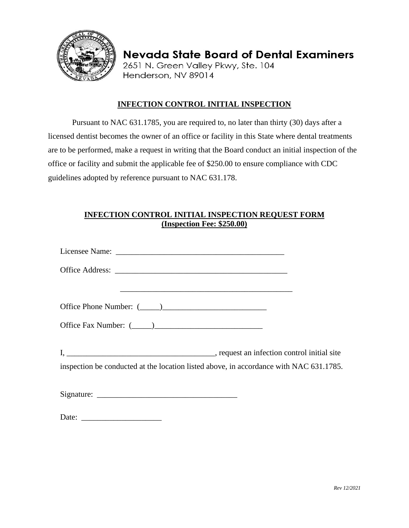

**Nevada State Board of Dental Examiners** 2651 N. Green Valley Pkwy, Ste. 104 Henderson, NV 89014

## **INFECTION CONTROL INITIAL INSPECTION**

Pursuant to NAC 631.1785, you are required to, no later than thirty (30) days after a licensed dentist becomes the owner of an office or facility in this State where dental treatments are to be performed, make a request in writing that the Board conduct an initial inspection of the office or facility and submit the applicable fee of \$250.00 to ensure compliance with CDC guidelines adopted by reference pursuant to NAC 631.178.

## **INFECTION CONTROL INITIAL INSPECTION REQUEST FORM (Inspection Fee: \$250.00)**

| inspection be conducted at the location listed above, in accordance with NAC 631.1785. |  |
|----------------------------------------------------------------------------------------|--|
|                                                                                        |  |
| Date:                                                                                  |  |